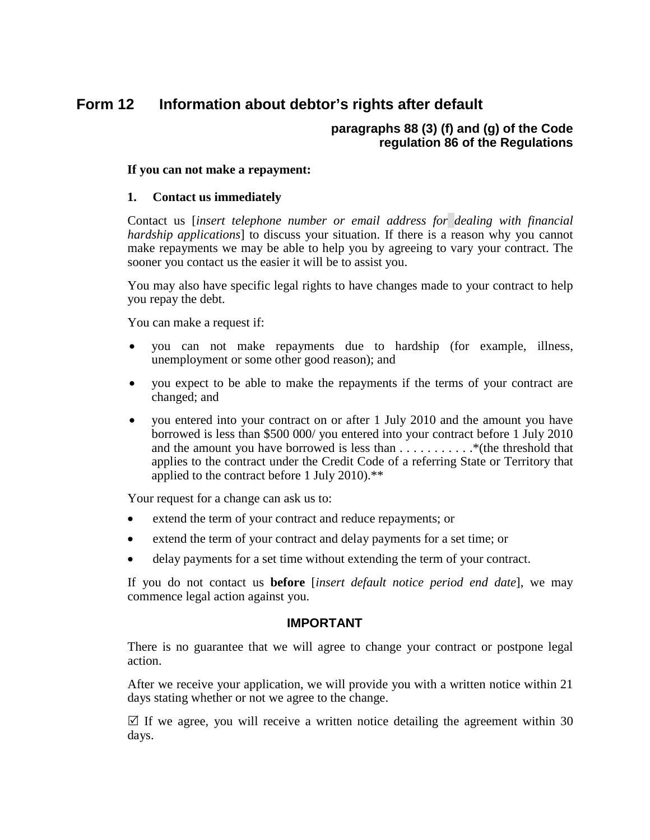#### **Form 12 Information about debtor's rights after default**

## **paragraphs 88 (3) (f) and (g) of the Code regulation 86 of the Regulations**

### **If you can not make a repayment:**

### **1. Contact us immediately**

Contact us [*insert telephone number or email address for dealing with financial hardship applications*] to discuss your situation. If there is a reason why you cannot make repayments we may be able to help you by agreeing to vary your contract. The sooner you contact us the easier it will be to assist you.

You may also have specific legal rights to have changes made to your contract to help you repay the debt.

You can make a request if:

- you can not make repayments due to hardship (for example, illness, unemployment or some other good reason); and
- you expect to be able to make the repayments if the terms of your contract are changed; and
- you entered into your contract on or after 1 July 2010 and the amount you have borrowed is less than \$500 000/ you entered into your contract before 1 July 2010 and the amount you have borrowed is less than  $\dots \dots \dots$  . \*\*(the threshold that applies to the contract under the Credit Code of a referring State or Territory that applied to the contract before 1 July 2010).\*\*

Your request for a change can ask us to:

- extend the term of your contract and reduce repayments; or
- extend the term of your contract and delay payments for a set time; or
- delay payments for a set time without extending the term of your contract.

If you do not contact us **before** [*insert default notice period end date*], we may commence legal action against you.

#### **IMPORTANT**

There is no guarantee that we will agree to change your contract or postpone legal action.

After we receive your application, we will provide you with a written notice within 21 days stating whether or not we agree to the change.

 $\boxtimes$  If we agree, you will receive a written notice detailing the agreement within 30 days.